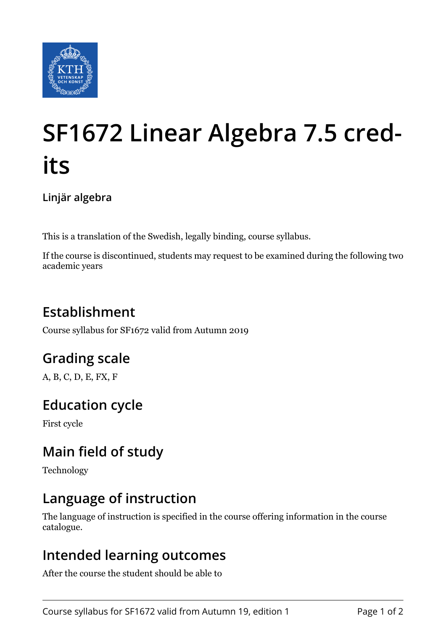

# **SF1672 Linear Algebra 7.5 credits**

**Linjär algebra**

This is a translation of the Swedish, legally binding, course syllabus.

If the course is discontinued, students may request to be examined during the following two academic years

# **Establishment**

Course syllabus for SF1672 valid from Autumn 2019

# **Grading scale**

A, B, C, D, E, FX, F

## **Education cycle**

First cycle

# **Main field of study**

Technology

#### **Language of instruction**

The language of instruction is specified in the course offering information in the course catalogue.

#### **Intended learning outcomes**

After the course the student should be able to